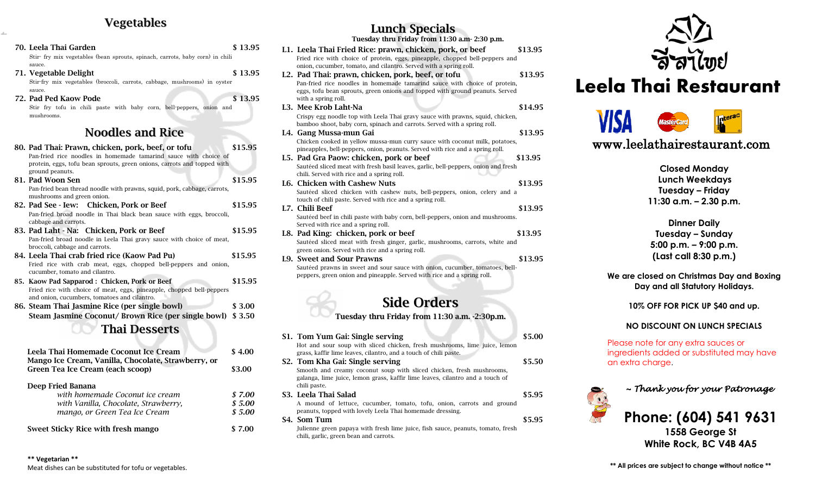#### Vegetables

*t*

| 70. Leela Thai Garden<br>Stir- fry mix vegetables (bean sprouts, spinach, carrots, baby corn) in chili                                                                                                              | \$13.95 | L1.              |
|---------------------------------------------------------------------------------------------------------------------------------------------------------------------------------------------------------------------|---------|------------------|
| sauce.<br>71. Vegetable Delight<br>Stir-fry mix vegetables (broccoli, carrots, cabbage, mushrooms) in oyster                                                                                                        | \$13.95 | L2.              |
| sauce.<br>72. Pad Ped Kaow Pode<br>Stir fry tofu in chili paste with baby corn, bell-peppers, onion and<br>mushrooms.                                                                                               | \$13.95 | L <sub>3</sub> . |
| <b>Noodles and Rice</b>                                                                                                                                                                                             |         | L4.              |
| 80. Pad Thai: Prawn, chicken, pork, beef, or tofu<br>Pan-fried rice noodles in homemade tamarind sauce with choice of<br>protein, eggs, tofu bean sprouts, green onions, carrots and topped with<br>ground peanuts. | \$15.95 | L5.              |
| 81. Pad Woon Sen<br>Pan-fried bean thread noodle with prawns, squid, pork, cabbage, carrots,<br>mushrooms and green onion.                                                                                          | \$15.95 | L6.              |
| 82. Pad See - Iew: Chicken, Pork or Beef<br>Pan-fried broad noodle in Thai black bean sauce with eggs, broccoli,<br>cabbage and carrots.                                                                            | \$15.95 | L7.              |
| 83. Pad Laht - Na: Chicken, Pork or Beef<br>Pan-fried broad noodle in Leela Thai gravy sauce with choice of meat,<br>broccoli, cabbage and carrots.                                                                 | \$15.95 | L8.              |
| 84. Leela Thai crab fried rice (Kaow Pad Pu)<br>Fried rice with crab meat, eggs, chopped bell-peppers and onion,<br>cucumber, tomato and cilantro.                                                                  | \$15.95 | L9.              |
| 85. Kaow Pad Sapparod: Chicken, Pork or Beef<br>Fried rice with choice of meat, eggs, pineapple, chopped bell-peppers<br>and onion, cucumbers, tomatoes and cilantro.                                               | \$15.95 |                  |
| 86. Steam Thai Jasmine Rice (per single bowl)                                                                                                                                                                       | \$3.00  |                  |
| Steam Jasmine Coconut/ Brown Rice (per single bowl) \$3.50                                                                                                                                                          |         |                  |
| <b>Thai Desserts</b>                                                                                                                                                                                                |         |                  |
|                                                                                                                                                                                                                     |         | S1.              |
| Leela Thai Hamamada Casanut Las Creat                                                                                                                                                                               | 0.100   |                  |

| Leela Thai Homemade Coconut Ice Cream               | \$4.00 |
|-----------------------------------------------------|--------|
| Mango Ice Cream, Vanilla, Chocolate, Strawberry, or |        |
| Green Tea Ice Cream (each scoop)                    | \$3.00 |
|                                                     |        |
| Deep Fried Banana                                   |        |
| with homemade Coconut ice cream                     | \$7.00 |
| with Vanilla, Chocolate, Strawberry,                | \$5.00 |
| mango, or Green Tea Ice Cream                       | \$5.00 |
| <b>Sweet Sticky Rice with fresh mango</b>           | \$7.00 |
|                                                     |        |

| \$13.95 |
|---------|
|         |
|         |
| \$13.95 |
|         |
|         |
|         |
| \$14.95 |
|         |
|         |
| \$13.95 |
|         |
| \$13.95 |
|         |
|         |
| \$13.95 |
|         |
|         |
| \$13.95 |
|         |
|         |
| \$13.95 |
|         |
|         |
| \$13.95 |
|         |
|         |
|         |
|         |
|         |
|         |
| \$5.00  |
|         |
|         |

Lunch Specials

| S1. Tom Yum Gai: Single serving                                                 | \$5.00 |
|---------------------------------------------------------------------------------|--------|
| Hot and sour soup with sliced chicken, fresh mushrooms, lime juice, lemon       |        |
| grass, kaffir lime leaves, cilantro, and a touch of chili paste.                |        |
| S2. Tom Kha Gai: Single serving                                                 | \$5.50 |
| Smooth and creamy coconut soup with sliced chicken, fresh mushrooms,            |        |
| galanga, lime juice, lemon grass, kaffir lime leaves, cilantro and a touch of   |        |
| chili paste.                                                                    |        |
| S3. Leela Thai Salad                                                            | \$5.95 |
| A mound of lettuce, cucumber, tomato, tofu, onion, carrots and ground           |        |
| peanuts, topped with lovely Leela Thai homemade dressing.                       |        |
| S <sub>4</sub> . Som Tum                                                        | \$5.95 |
| Julienne green papaya with fresh lime juice, fish sauce, peanuts, tomato, fresh |        |
| chili, garlic, green bean and carrots.                                          |        |



# Leela Thai Restaurant



www.leelathairestaurant.com

**Closed Monday Lunch Weekdays Tuesday – Friday 11:30 a.m. – 2.30 p.m.**

**Dinner Daily Tuesday – Sunday 5:00 p.m. – 9:00 p.m. (Last call 8:30 p.m.)**

**We are closed on Christmas Day and Boxing Day and all Statutory Holidays.**

**10% OFF FOR PICK UP \$40 and up.**

#### **NO DISCOUNT ON LUNCH SPECIALS**

Please note for any extra sauces or ingredients added or substituted may have an extra charge.